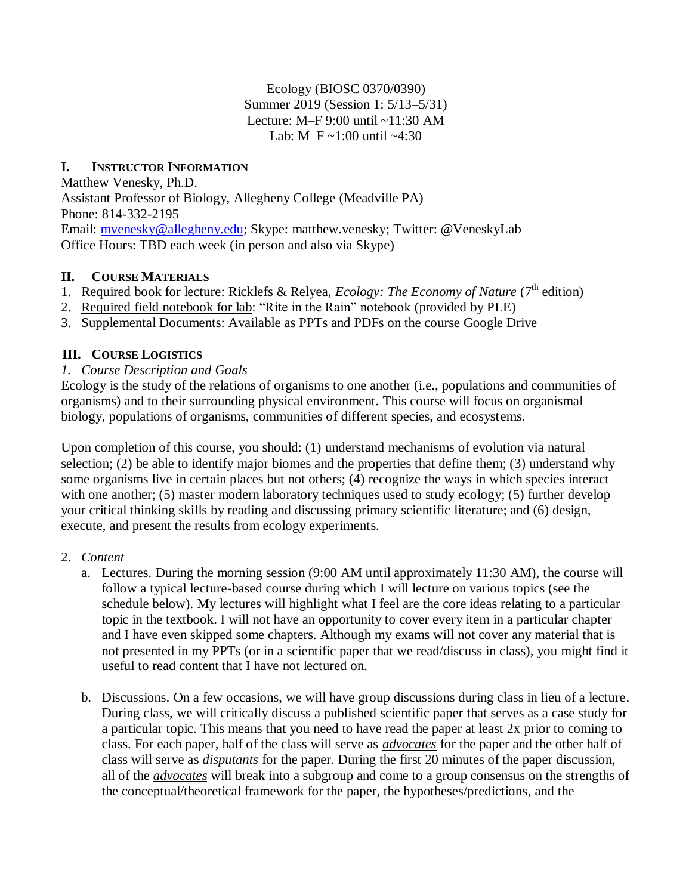Ecology (BIOSC 0370/0390) Summer 2019 (Session 1: 5/13–5/31) Lecture: M–F 9:00 until ~11:30 AM Lab: M–F  $\sim$ 1:00 until  $\sim$ 4:30

# **I. INSTRUCTOR INFORMATION**

Matthew Venesky, Ph.D. Assistant Professor of Biology, Allegheny College (Meadville PA) Phone: 814-332-2195 Email: [mvenesky@allegheny.edu;](mailto:mvenesky@allegheny.edu) Skype: matthew.venesky; Twitter: @VeneskyLab Office Hours: TBD each week (in person and also via Skype)

## **II. COURSE MATERIALS**

- 1. Required book for lecture: Ricklefs & Relyea, *Ecology: The Economy of Nature* (7<sup>th</sup> edition)
- 2. Required field notebook for lab: "Rite in the Rain" notebook (provided by PLE)
- 3. Supplemental Documents: Available as PPTs and PDFs on the course Google Drive

# **III. COURSE LOGISTICS**

*1. Course Description and Goals*

Ecology is the study of the relations of organisms to one another (i.e., populations and communities of organisms) and to their surrounding physical environment. This course will focus on organismal biology, populations of organisms, communities of different species, and ecosystems.

Upon completion of this course, you should: (1) understand mechanisms of evolution via natural selection; (2) be able to identify major biomes and the properties that define them; (3) understand why some organisms live in certain places but not others; (4) recognize the ways in which species interact with one another; (5) master modern laboratory techniques used to study ecology; (5) further develop your critical thinking skills by reading and discussing primary scientific literature; and (6) design, execute, and present the results from ecology experiments.

- 2. *Content*
	- a. Lectures. During the morning session (9:00 AM until approximately 11:30 AM), the course will follow a typical lecture-based course during which I will lecture on various topics (see the schedule below). My lectures will highlight what I feel are the core ideas relating to a particular topic in the textbook. I will not have an opportunity to cover every item in a particular chapter and I have even skipped some chapters. Although my exams will not cover any material that is not presented in my PPTs (or in a scientific paper that we read/discuss in class), you might find it useful to read content that I have not lectured on.
	- b. Discussions. On a few occasions, we will have group discussions during class in lieu of a lecture. During class, we will critically discuss a published scientific paper that serves as a case study for a particular topic. This means that you need to have read the paper at least 2x prior to coming to class. For each paper, half of the class will serve as *advocates* for the paper and the other half of class will serve as *disputants* for the paper. During the first 20 minutes of the paper discussion, all of the *advocates* will break into a subgroup and come to a group consensus on the strengths of the conceptual/theoretical framework for the paper, the hypotheses/predictions, and the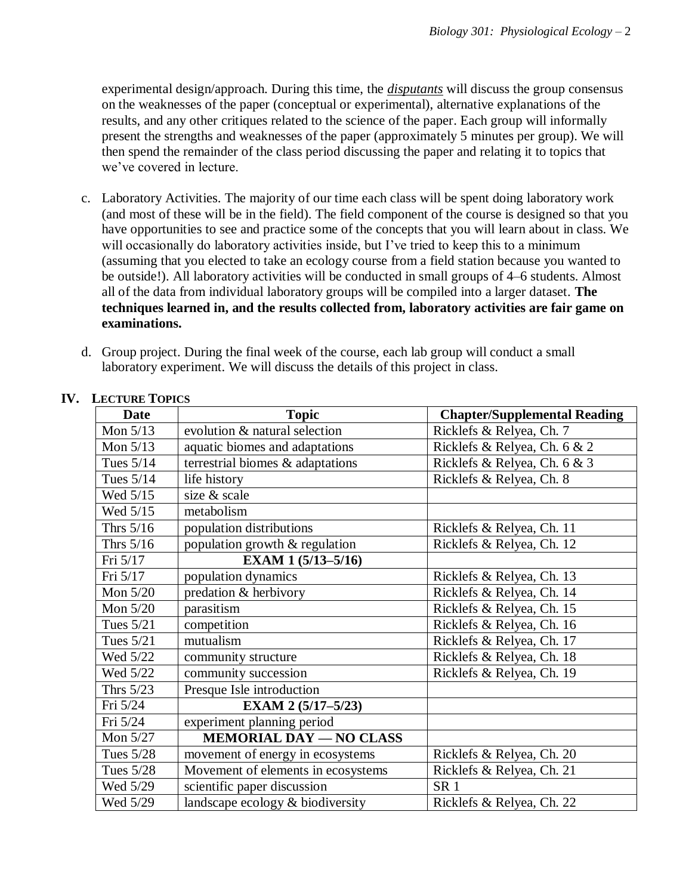experimental design/approach. During this time, the *disputants* will discuss the group consensus on the weaknesses of the paper (conceptual or experimental), alternative explanations of the results, and any other critiques related to the science of the paper. Each group will informally present the strengths and weaknesses of the paper (approximately 5 minutes per group). We will then spend the remainder of the class period discussing the paper and relating it to topics that we've covered in lecture.

- c. Laboratory Activities. The majority of our time each class will be spent doing laboratory work (and most of these will be in the field). The field component of the course is designed so that you have opportunities to see and practice some of the concepts that you will learn about in class. We will occasionally do laboratory activities inside, but I've tried to keep this to a minimum (assuming that you elected to take an ecology course from a field station because you wanted to be outside!). All laboratory activities will be conducted in small groups of 4–6 students. Almost all of the data from individual laboratory groups will be compiled into a larger dataset. **The techniques learned in, and the results collected from, laboratory activities are fair game on examinations.**
- d. Group project. During the final week of the course, each lab group will conduct a small laboratory experiment. We will discuss the details of this project in class.

| <b>Date</b> | <b>Topic</b>                       | <b>Chapter/Supplemental Reading</b> |
|-------------|------------------------------------|-------------------------------------|
| Mon $5/13$  | evolution & natural selection      | Ricklefs & Relyea, Ch. 7            |
| Mon $5/13$  | aquatic biomes and adaptations     | Ricklefs & Relyea, Ch. 6 & 2        |
| Tues $5/14$ | terrestrial biomes & adaptations   | Ricklefs & Relyea, Ch. 6 & 3        |
| Tues $5/14$ | life history                       | Ricklefs & Relyea, Ch. 8            |
| Wed 5/15    | size & scale                       |                                     |
| Wed 5/15    | metabolism                         |                                     |
| Thrs $5/16$ | population distributions           | Ricklefs & Relyea, Ch. 11           |
| Thrs $5/16$ | population growth & regulation     | Ricklefs & Relyea, Ch. 12           |
| Fri 5/17    | EXAM 1 (5/13-5/16)                 |                                     |
| Fri 5/17    | population dynamics                | Ricklefs & Relyea, Ch. 13           |
| Mon $5/20$  | predation & herbivory              | Ricklefs & Relyea, Ch. 14           |
| Mon $5/20$  | parasitism                         | Ricklefs & Relyea, Ch. 15           |
| Tues 5/21   | competition                        | Ricklefs & Relyea, Ch. 16           |
| Tues 5/21   | mutualism                          | Ricklefs & Relyea, Ch. 17           |
| Wed 5/22    | community structure                | Ricklefs & Relyea, Ch. 18           |
| Wed 5/22    | community succession               | Ricklefs & Relyea, Ch. 19           |
| Thrs $5/23$ | Presque Isle introduction          |                                     |
| Fri 5/24    | EXAM 2 (5/17-5/23)                 |                                     |
| Fri 5/24    | experiment planning period         |                                     |
| Mon $5/27$  | <b>MEMORIAL DAY - NO CLASS</b>     |                                     |
| Tues $5/28$ | movement of energy in ecosystems   | Ricklefs & Relyea, Ch. 20           |
| Tues 5/28   | Movement of elements in ecosystems | Ricklefs & Relyea, Ch. 21           |
| Wed 5/29    | scientific paper discussion        | SR <sub>1</sub>                     |
| Wed 5/29    | landscape ecology & biodiversity   | Ricklefs & Relyea, Ch. 22           |

#### **IV. LECTURE TOPICS**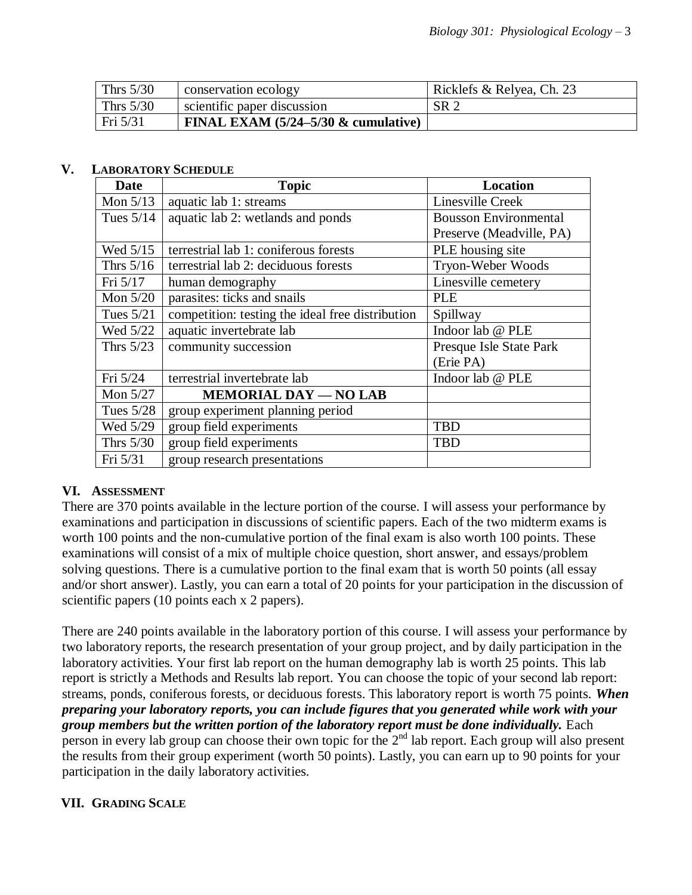| Thrs $5/30$ | conservation ecology                   | Ricklefs & Relyea, Ch. 23 |
|-------------|----------------------------------------|---------------------------|
| Thrs $5/30$ | scientific paper discussion            | SR <sub>2</sub>           |
| Fri 5/31    | FINAL EXAM $(5/24-5/30 \&$ cumulative) |                           |

#### **V. LABORATORY SCHEDULE**

| Date             | <b>Topic</b>                                     | <b>Location</b>              |
|------------------|--------------------------------------------------|------------------------------|
| Mon $5/13$       | aquatic lab 1: streams                           | Linesville Creek             |
| Tues $5/14$      | aquatic lab 2: wetlands and ponds                | <b>Bousson Environmental</b> |
|                  |                                                  | Preserve (Meadville, PA)     |
| Wed 5/15         | terrestrial lab 1: coniferous forests            | PLE housing site             |
| Thrs $5/16$      | terrestrial lab 2: deciduous forests             | Tryon-Weber Woods            |
| Fri $5/17$       | human demography                                 | Linesville cemetery          |
| Mon $5/20$       | parasites: ticks and snails                      | PLE                          |
| <b>Tues 5/21</b> | competition: testing the ideal free distribution | Spillway                     |
| Wed 5/22         | aquatic invertebrate lab                         | Indoor lab @ PLE             |
| Thrs $5/23$      | community succession                             | Presque Isle State Park      |
|                  |                                                  | (Erie PA)                    |
| Fri 5/24         | terrestrial invertebrate lab                     | Indoor lab @ PLE             |
| Mon 5/27         | <b>MEMORIAL DAY - NO LAB</b>                     |                              |
| Tues 5/28        | group experiment planning period                 |                              |
| Wed 5/29         | group field experiments                          | <b>TBD</b>                   |
| Thrs $5/30$      | group field experiments                          | TBD                          |
| Fri 5/31         | group research presentations                     |                              |

## **VI. ASSESSMENT**

There are 370 points available in the lecture portion of the course. I will assess your performance by examinations and participation in discussions of scientific papers. Each of the two midterm exams is worth 100 points and the non-cumulative portion of the final exam is also worth 100 points. These examinations will consist of a mix of multiple choice question, short answer, and essays/problem solving questions. There is a cumulative portion to the final exam that is worth 50 points (all essay and/or short answer). Lastly, you can earn a total of 20 points for your participation in the discussion of scientific papers (10 points each x 2 papers).

There are 240 points available in the laboratory portion of this course. I will assess your performance by two laboratory reports, the research presentation of your group project, and by daily participation in the laboratory activities. Your first lab report on the human demography lab is worth 25 points. This lab report is strictly a Methods and Results lab report. You can choose the topic of your second lab report: streams, ponds, coniferous forests, or deciduous forests. This laboratory report is worth 75 points. *When preparing your laboratory reports, you can include figures that you generated while work with your group members but the written portion of the laboratory report must be done individually.* Each person in every lab group can choose their own topic for the  $2<sup>nd</sup>$  lab report. Each group will also present the results from their group experiment (worth 50 points). Lastly, you can earn up to 90 points for your participation in the daily laboratory activities.

## **VII. GRADING SCALE**